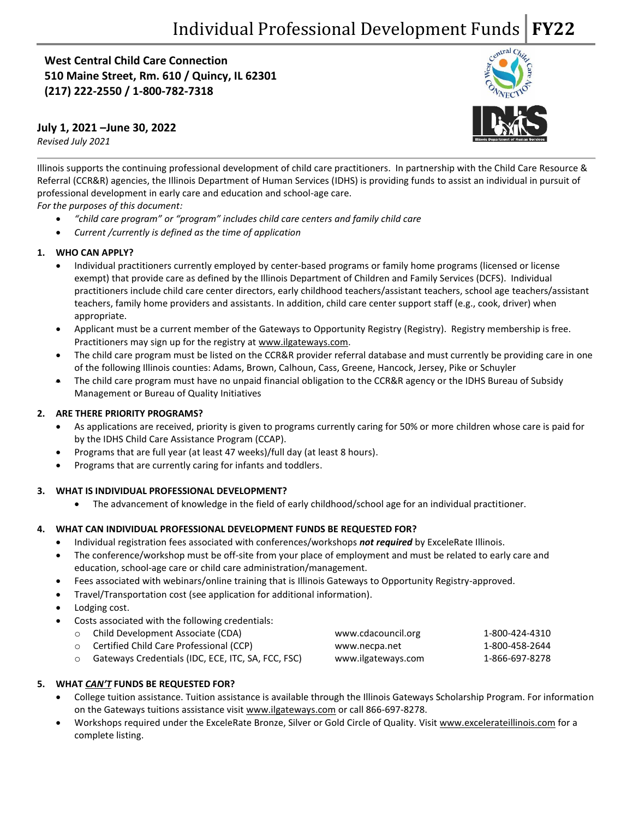(\$425 on **510 Maine Street, Rm. 610 / Quincy, IL 62301 West Central Child Care Connection (217) 222-2550 / 1-800-782-7318**

## **July 1, 2021 –June 30, 2022**

*Revised July 2021*



Illinois supports the continuing professional development of child care practitioners. In partnership with the Child Care Resource & Referral (CCR&R) agencies, the Illinois Department of Human Services (IDHS) is providing funds to assist an individual in pursuit of professional development in early care and education and school-age care.

*For the purposes of this document:*

- *"child care program" or "program" includes child care centers and family child care*
- *Current /currently is defined as the time of application*

## **1. WHO CAN APPLY?**

- Individual practitioners currently employed by center-based programs or family home programs (licensed or license exempt) that provide care as defined by the Illinois Department of Children and Family Services (DCFS). Individual practitioners include child care center directors, early childhood teachers/assistant teachers, school age teachers/assistant teachers, family home providers and assistants. In addition, child care center support staff (e.g., cook, driver) when appropriate.
- Applicant must be a current member of the Gateways to Opportunity Registry (Registry). Registry membership is free. Practitioners may sign up for the registry at [www.ilgateways.com.](http://www.ilgateways.com/)
- The child care program must be listed on the CCR&R provider referral database and must currently be providing care in one of the following Illinois counties: Adams, Brown, Calhoun, Cass, Greene, Hancock, Jersey, Pike or Schuyler
- The child care program must have no unpaid financial obligation to the CCR&R agency or the IDHS Bureau of Subsidy Management or Bureau of Quality Initiatives

## **2. ARE THERE PRIORITY PROGRAMS?**

- As applications are received, priority is given to programs currently caring for 50% or more children whose care is paid for by the IDHS Child Care Assistance Program (CCAP).
- Programs that are full year (at least 47 weeks)/full day (at least 8 hours).
- Programs that are currently caring for infants and toddlers.

## **3. WHAT IS INDIVIDUAL PROFESSIONAL DEVELOPMENT?**

• The advancement of knowledge in the field of early childhood/school age for an individual practitioner.

## **4. WHAT CAN INDIVIDUAL PROFESSIONAL DEVELOPMENT FUNDS BE REQUESTED FOR?**

- Individual registration fees associated with conferences/workshops *not required* by ExceleRate Illinois.
- The conference/workshop must be off-site from your place of employment and must be related to early care and education, school-age care or child care administration/management.
- Fees associated with webinars/online training that is Illinois Gateways to Opportunity Registry-approved.
- Travel/Transportation cost (see application for additional information).
- Lodging cost.
- Costs associated with the following credentials:

| ○ Child Development Associate (CDA)                | www.cdacouncil.org | 1-800-424-4310 |
|----------------------------------------------------|--------------------|----------------|
| ○ Certified Child Care Professional (CCP)          | www.necpa.net      | 1-800-458-2644 |
| Gateways Credentials (IDC, ECE, ITC, SA, FCC, FSC) | www.ilgateways.com | 1-866-697-8278 |

## **5. WHAT** *CAN'T* **FUNDS BE REQUESTED FOR?**

- College tuition assistance. Tuition assistance is available through the Illinois Gateways Scholarship Program. For information on the Gateways tuitions assistance visit [www.ilgateways.com](http://www.ilgateways.com/) or call 866-697-8278.
- Workshops required under the ExceleRate Bronze, Silver or Gold Circle of Quality. Visi[t www.excelerateillinois.com](http://www.excelerateillinois.com/) for a complete listing.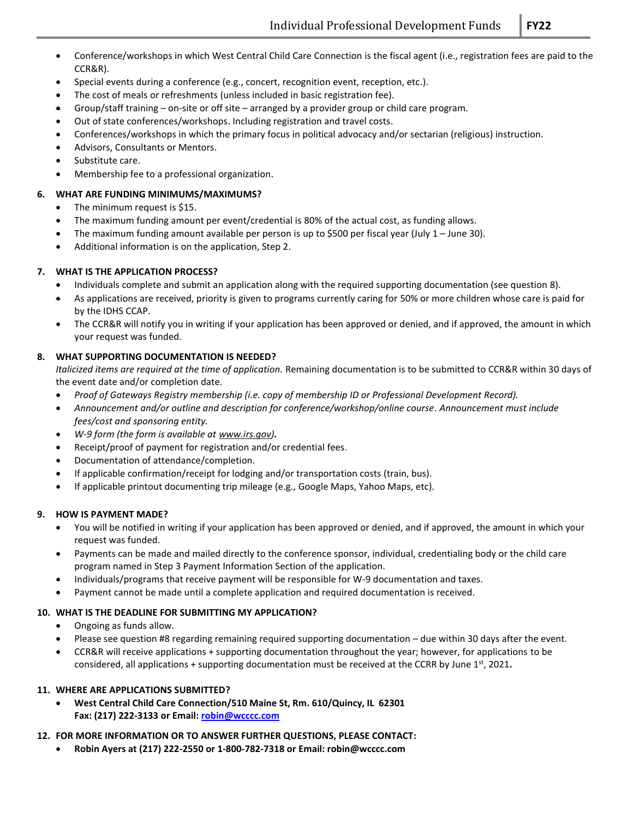- Conference/workshops in which West Central Child Care Connection is the fiscal agent (i.e., registration fees are paid to the CCR&R).
- Special events during a conference (e.g., concert, recognition event, reception, etc.).
- The cost of meals or refreshments (unless included in basic registration fee).
- Group/staff training on-site or off site arranged by a provider group or child care program.
- Out of state conferences/workshops. Including registration and travel costs.
- Conferences/workshops in which the primary focus in political advocacy and/or sectarian (religious) instruction.
- Advisors, Consultants or Mentors.
- Substitute care.
- Membership fee to a professional organization.

#### **6. WHAT ARE FUNDING MINIMUMS/MAXIMUMS?**

- The minimum request is \$15.
- The maximum funding amount per event/credential is 80% of the actual cost, as funding allows.
- The maximum funding amount available per person is up to \$500 per fiscal year (July 1 June 30).
- Additional information is on the application, Step 2.

#### **7. WHAT IS THE APPLICATION PROCESS?**

- Individuals complete and submit an application along with the required supporting documentation (see question 8).
- As applications are received, priority is given to programs currently caring for 50% or more children whose care is paid for by the IDHS CCAP.
- The CCR&R will notify you in writing if your application has been approved or denied, and if approved, the amount in which your request was funded.

#### **8. WHAT SUPPORTING DOCUMENTATION IS NEEDED?**

*Italicized items are required at the time of application.* Remaining documentation is to be submitted to CCR&R within 30 days of the event date and/or completion date.

- *Proof of Gateways Registry membership (i.e. copy of membership ID or Professional Development Record).*
- *Announcement and/or outline and description for conference/workshop/online course. Announcement must include fees/cost and sponsoring entity.*
- *W-9 form (the form is available a[t www.irs.gov\)](http://www.irs.gov/).*
- Receipt/proof of payment for registration and/or credential fees.
- Documentation of attendance/completion.
- If applicable confirmation/receipt for lodging and/or transportation costs (train, bus).
- If applicable printout documenting trip mileage (e.g., Google Maps, Yahoo Maps, etc).

#### **9. HOW IS PAYMENT MADE?**

- You will be notified in writing if your application has been approved or denied, and if approved, the amount in which your request was funded.
- Payments can be made and mailed directly to the conference sponsor, individual, credentialing body or the child care program named in Step 3 Payment Information Section of the application.
- Individuals/programs that receive payment will be responsible for W-9 documentation and taxes.
- Payment cannot be made until a complete application and required documentation is received.

## **10. WHAT IS THE DEADLINE FOR SUBMITTING MY APPLICATION?**

- Ongoing as funds allow.
- Please see question #8 regarding remaining required supporting documentation due within 30 days after the event.
- CCR&R will receive applications + supporting documentation throughout the year; however, for applications to be considered, all applications + supporting documentation must be received at the CCRR by June 1<sup>st</sup>, 2021.

#### **11. WHERE ARE APPLICATIONS SUBMITTED?**

• **West Central Child Care Connection/510 Maine St, Rm. 610/Quincy, IL 62301 Fax: (217) 222-3133 or Email[: robin@wcccc.com](mailto:robin@wcccc.com)**

#### **12. FOR MORE INFORMATION OR TO ANSWER FURTHER QUESTIONS, PLEASE CONTACT:**

• **Robin Ayers at (217) 222-2550 or 1-800-782-7318 or Email: robin@wcccc.com**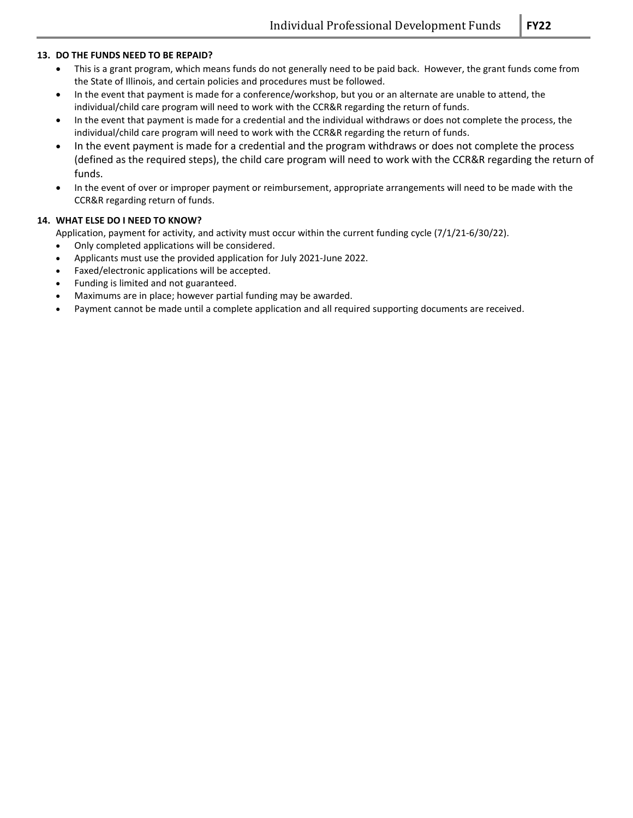#### **13. DO THE FUNDS NEED TO BE REPAID?**

- This is a grant program, which means funds do not generally need to be paid back. However, the grant funds come from the State of Illinois, and certain policies and procedures must be followed.
- In the event that payment is made for a conference/workshop, but you or an alternate are unable to attend, the individual/child care program will need to work with the CCR&R regarding the return of funds.
- In the event that payment is made for a credential and the individual withdraws or does not complete the process, the individual/child care program will need to work with the CCR&R regarding the return of funds.
- In the event payment is made for a credential and the program withdraws or does not complete the process (defined as the required steps), the child care program will need to work with the CCR&R regarding the return of funds.
- In the event of over or improper payment or reimbursement, appropriate arrangements will need to be made with the CCR&R regarding return of funds.

#### **14. WHAT ELSE DO I NEED TO KNOW?**

Application, payment for activity, and activity must occur within the current funding cycle (7/1/21-6/30/22).

- Only completed applications will be considered.
- Applicants must use the provided application for July 2021-June 2022.
- Faxed/electronic applications will be accepted.
- Funding is limited and not guaranteed.
- Maximums are in place; however partial funding may be awarded.
- Payment cannot be made until a complete application and all required supporting documents are received.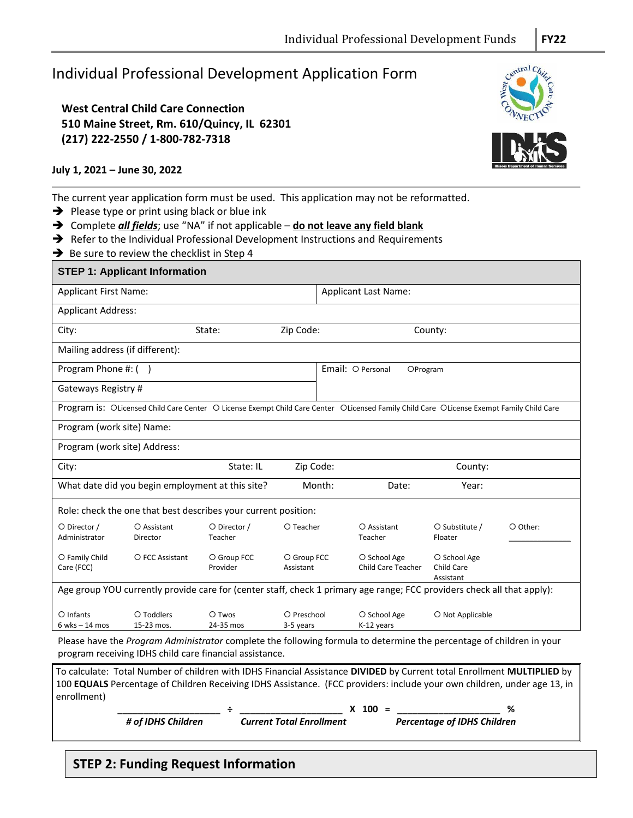# Individual Professional Development Application Form

**West Central Child Care Connection 510 Maine Street, Rm. 610/Quincy, IL 62301 (217) 222-2550 / 1-800-782-7318**

## **July 1, 2021 – June 30, 2022**

The current year application form must be used. This application may not be reformatted.

➔ Please type or print using black or blue ink

➔ Complete *all fields*; use "NA" if not applicable – **do not leave any field blank**

- ➔ Refer to the Individual Professional Development Instructions and Requirements
- ➔ Be sure to review the checklist in Step 4

| <b>STEP 1: Applicant Information</b>                                                                                                                                            |                                                                              |                                                                                                                                                                                                                                                     |                                 |  |                                           |                                                |          |
|---------------------------------------------------------------------------------------------------------------------------------------------------------------------------------|------------------------------------------------------------------------------|-----------------------------------------------------------------------------------------------------------------------------------------------------------------------------------------------------------------------------------------------------|---------------------------------|--|-------------------------------------------|------------------------------------------------|----------|
| <b>Applicant First Name:</b>                                                                                                                                                    |                                                                              |                                                                                                                                                                                                                                                     |                                 |  | <b>Applicant Last Name:</b>               |                                                |          |
| <b>Applicant Address:</b>                                                                                                                                                       |                                                                              |                                                                                                                                                                                                                                                     |                                 |  |                                           |                                                |          |
| City:                                                                                                                                                                           |                                                                              | State:                                                                                                                                                                                                                                              | Zip Code:                       |  |                                           | County:                                        |          |
| Mailing address (if different):                                                                                                                                                 |                                                                              |                                                                                                                                                                                                                                                     |                                 |  |                                           |                                                |          |
| Program Phone #: ()                                                                                                                                                             |                                                                              |                                                                                                                                                                                                                                                     |                                 |  | Email: O Personal<br>OProgram             |                                                |          |
| Gateways Registry #                                                                                                                                                             |                                                                              |                                                                                                                                                                                                                                                     |                                 |  |                                           |                                                |          |
|                                                                                                                                                                                 |                                                                              | Program is: OLicensed Child Care Center O License Exempt Child Care Center OLicensed Family Child Care OLicense Exempt Family Child Care                                                                                                            |                                 |  |                                           |                                                |          |
| Program (work site) Name:                                                                                                                                                       |                                                                              |                                                                                                                                                                                                                                                     |                                 |  |                                           |                                                |          |
| Program (work site) Address:                                                                                                                                                    |                                                                              |                                                                                                                                                                                                                                                     |                                 |  |                                           |                                                |          |
| City:                                                                                                                                                                           |                                                                              | State: IL                                                                                                                                                                                                                                           | Zip Code:                       |  |                                           | County:                                        |          |
|                                                                                                                                                                                 | What date did you begin employment at this site?<br>Month:<br>Year:<br>Date: |                                                                                                                                                                                                                                                     |                                 |  |                                           |                                                |          |
|                                                                                                                                                                                 |                                                                              | Role: check the one that best describes your current position:                                                                                                                                                                                      |                                 |  |                                           |                                                |          |
| O Director /<br>Administrator                                                                                                                                                   | O Assistant<br>Director                                                      | O Director /<br>Teacher                                                                                                                                                                                                                             | O Teacher                       |  | O Assistant<br>Teacher                    | O Substitute /<br>Floater                      | O Other: |
| O Family Child<br>Care (FCC)                                                                                                                                                    | O FCC Assistant                                                              | O Group FCC<br>Provider                                                                                                                                                                                                                             | O Group FCC<br>Assistant        |  | O School Age<br><b>Child Care Teacher</b> | O School Age<br><b>Child Care</b><br>Assistant |          |
| Age group YOU currently provide care for (center staff, check 1 primary age range; FCC providers check all that apply):                                                         |                                                                              |                                                                                                                                                                                                                                                     |                                 |  |                                           |                                                |          |
| $O$ Infants<br>$6$ wks $-14$ mos                                                                                                                                                | O Toddlers<br>15-23 mos.                                                     | O Twos<br>24-35 mos                                                                                                                                                                                                                                 | O Preschool<br>3-5 years        |  | O School Age<br>K-12 years                | O Not Applicable                               |          |
| Please have the Program Administrator complete the following formula to determine the percentage of children in your<br>program receiving IDHS child care financial assistance. |                                                                              |                                                                                                                                                                                                                                                     |                                 |  |                                           |                                                |          |
| enrollment)                                                                                                                                                                     |                                                                              | To calculate: Total Number of children with IDHS Financial Assistance DIVIDED by Current total Enrollment MULTIPLIED by<br>100 EQUALS Percentage of Children Receiving IDHS Assistance. (FCC providers: include your own children, under age 13, in |                                 |  |                                           |                                                |          |
|                                                                                                                                                                                 | # of IDHS Children                                                           |                                                                                                                                                                                                                                                     | <b>Current Total Enrollment</b> |  | $X$ 100 =                                 | <b>Percentage of IDHS Children</b>             | %        |

## **STEP 2: Funding Request Information**





 $\overline{a}$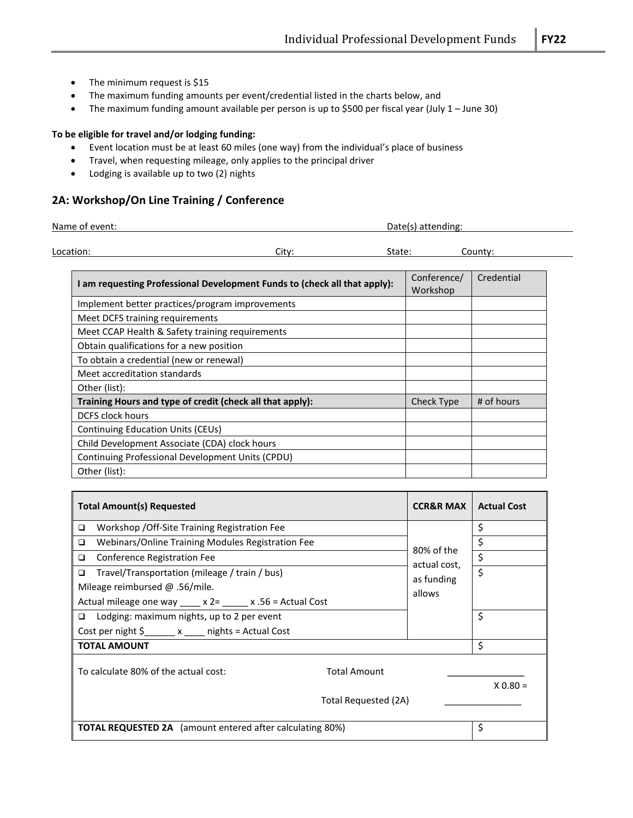- The minimum request is \$15
- The maximum funding amounts per event/credential listed in the charts below, and
- The maximum funding amount available per person is up to \$500 per fiscal year (July 1 June 30)

#### **To be eligible for travel and/or lodging funding:**

- Event location must be at least 60 miles (one way) from the individual's place of business
- Travel, when requesting mileage, only applies to the principal driver
- Lodging is available up to two (2) nights

## **2A: Workshop/On Line Training / Conference**

| Name of event: |       | Date(s) attending: |         |  |
|----------------|-------|--------------------|---------|--|
|                |       |                    |         |  |
| Location:      | Citv: | State:             | County: |  |

| am requesting Professional Development Funds to (check all that apply): | Conference/<br>Workshop | Credential |
|-------------------------------------------------------------------------|-------------------------|------------|
| Implement better practices/program improvements                         |                         |            |
| Meet DCFS training requirements                                         |                         |            |
| Meet CCAP Health & Safety training requirements                         |                         |            |
| Obtain qualifications for a new position                                |                         |            |
| To obtain a credential (new or renewal)                                 |                         |            |
| Meet accreditation standards                                            |                         |            |
| Other (list):                                                           |                         |            |
| Training Hours and type of credit (check all that apply):               | <b>Check Type</b>       | # of hours |
| <b>DCFS clock hours</b>                                                 |                         |            |
| Continuing Education Units (CEUs)                                       |                         |            |
| Child Development Associate (CDA) clock hours                           |                         |            |
| Continuing Professional Development Units (CPDU)                        |                         |            |
| Other (list):                                                           |                         |            |

| <b>Total Amount(s) Requested</b>                                          | <b>CCR&amp;R MAX</b> | <b>Actual Cost</b> |  |  |
|---------------------------------------------------------------------------|----------------------|--------------------|--|--|
| Workshop / Off-Site Training Registration Fee<br>□                        |                      | \$                 |  |  |
| Webinars/Online Training Modules Registration Fee<br>$\Box$               | 80% of the           | \$                 |  |  |
| Conference Registration Fee<br>□                                          | actual cost,         | \$                 |  |  |
| Travel/Transportation (mileage / train / bus)<br>□                        | as funding           | $\overline{\xi}$   |  |  |
| Mileage reimbursed $@.56/mile.$                                           | allows               |                    |  |  |
| Actual mileage one way ____ x 2= ____ x .56 = Actual Cost                 |                      |                    |  |  |
| Lodging: maximum nights, up to 2 per event<br>□                           |                      | \$                 |  |  |
| Cost per night $\frac{5}{2}$ x _____ nights = Actual Cost                 |                      |                    |  |  |
| <b>TOTAL AMOUNT</b>                                                       |                      | \$                 |  |  |
| To calculate 80% of the actual cost:<br><b>Total Amount</b><br>$X$ 0.80 = |                      |                    |  |  |
| Total Requested (2A)                                                      |                      |                    |  |  |
| <b>TOTAL REQUESTED 2A</b> (amount entered after calculating 80%)          | \$                   |                    |  |  |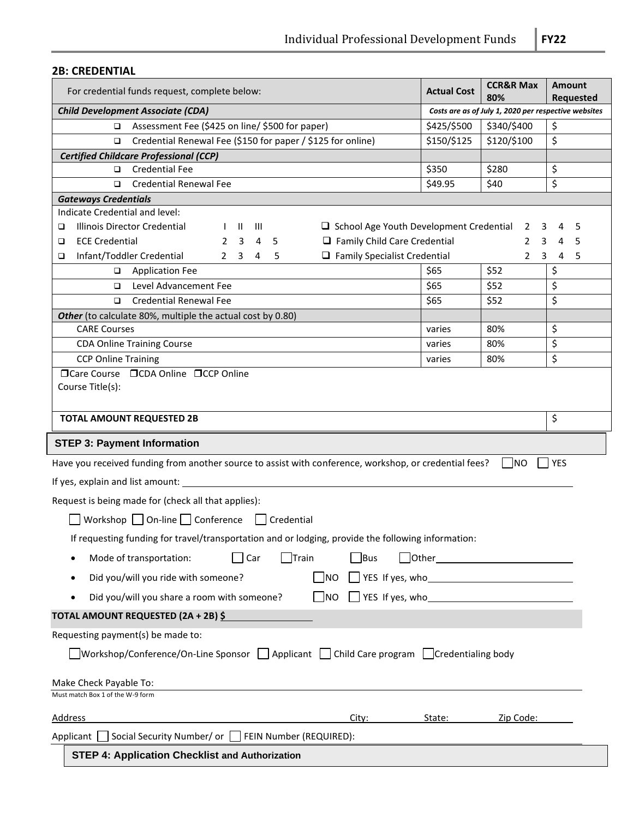## **2B: CREDENTIAL**

| For credential funds request, complete below:                                                                                                                           |             | <b>CCR&amp;R Max</b><br>80% | <b>Amount</b><br><b>Requested</b> |  |  |
|-------------------------------------------------------------------------------------------------------------------------------------------------------------------------|-------------|-----------------------------|-----------------------------------|--|--|
| Costs are as of July 1, 2020 per respective websites<br><b>Child Development Associate (CDA)</b>                                                                        |             |                             |                                   |  |  |
| Assessment Fee (\$425 on line/ \$500 for paper)                                                                                                                         | \$425/\$500 | \$340/\$400                 | \$                                |  |  |
| Credential Renewal Fee (\$150 for paper / \$125 for online)<br>□                                                                                                        | \$150/\$125 | \$120/\$100                 | \$                                |  |  |
| <b>Certified Childcare Professional (CCP)</b>                                                                                                                           |             |                             |                                   |  |  |
| □ Credential Fee                                                                                                                                                        | \$350       | \$280                       | \$                                |  |  |
| <b>Credential Renewal Fee</b><br>□                                                                                                                                      | \$49.95     | \$40                        | \$                                |  |  |
| <b>Gateways Credentials</b>                                                                                                                                             |             |                             |                                   |  |  |
| Indicate Credential and level:                                                                                                                                          |             |                             |                                   |  |  |
| Illinois Director Credential<br>$\Box$ School Age Youth Development Credential 2<br>$\mathbf{u}$ $\mathbf{m}$<br>❏<br>$\mathbf{I}$                                      |             | 3                           | 4<br>- 5                          |  |  |
| $\Box$ Family Child Care Credential<br><b>ECE Credential</b><br>$2 \quad 3 \quad 4 \quad 5$<br>□                                                                        |             | $2^{\circ}$                 | 3<br>4<br>-5                      |  |  |
| $\Box$ Family Specialist Credential<br>Infant/Toddler Credential<br>$2 \quad 3 \quad 4 \quad 5$<br>▫                                                                    |             | $\mathbf{2}$                | 3 4 5                             |  |  |
| Application Fee                                                                                                                                                         | \$65        | \$52                        | \$                                |  |  |
| Level Advancement Fee<br>◻                                                                                                                                              | \$65        | \$52                        | \$                                |  |  |
| <b>Credential Renewal Fee</b><br>▫                                                                                                                                      | \$65        | \$52                        | \$                                |  |  |
| Other (to calculate 80%, multiple the actual cost by 0.80)                                                                                                              |             |                             |                                   |  |  |
| <b>CARE Courses</b>                                                                                                                                                     | varies      | 80%                         | \$                                |  |  |
| <b>CDA Online Training Course</b>                                                                                                                                       | varies      | 80%                         | \$                                |  |  |
| <b>CCP Online Training</b><br>□Care Course □CDA Online □CCP Online                                                                                                      | varies      | 80%                         | \$                                |  |  |
| \$<br><b>TOTAL AMOUNT REQUESTED 2B</b>                                                                                                                                  |             |                             |                                   |  |  |
| <b>STEP 3: Payment Information</b>                                                                                                                                      |             |                             |                                   |  |  |
| Have you received funding from another source to assist with conference, workshop, or credential fees?                                                                  |             | I INO                       | <b>I</b> YES                      |  |  |
| If yes, explain and list amount:                                                                                                                                        |             |                             |                                   |  |  |
| Request is being made for (check all that applies):                                                                                                                     |             |                             |                                   |  |  |
| Workshop $\Box$ On-line $\Box$ Conference $\Box$ Credential                                                                                                             |             |                             |                                   |  |  |
| If requesting funding for travel/transportation and or lodging, provide the following information:                                                                      |             |                             |                                   |  |  |
| <b>T</b> Bus<br>Mode of transportation:<br>Car<br>   Train                                                                                                              |             |                             |                                   |  |  |
| Did you/will you ride with someone?<br><b>NO</b>                                                                                                                        |             |                             |                                   |  |  |
| Did you/will you share a room with someone?<br>$\sqrt{ }$ YES If yes, who<br><b>NO</b>                                                                                  |             |                             |                                   |  |  |
| TOTAL AMOUNT REQUESTED (2A + 2B) \$                                                                                                                                     |             |                             |                                   |  |  |
| Requesting payment(s) be made to:                                                                                                                                       |             |                             |                                   |  |  |
| $\sqrt{\frac{1}{2}}$ Workshop/Conference/On-Line Sponsor $\sqrt{\frac{1}{2}}$ Applicant $\sqrt{\frac{1}{2}}$ Child Care program $\sqrt{\frac{1}{2}}$ Credentialing body |             |                             |                                   |  |  |
| Make Check Payable To:                                                                                                                                                  |             |                             |                                   |  |  |
| Must match Box 1 of the W-9 form                                                                                                                                        |             |                             |                                   |  |  |
| <b>Address</b><br>City:                                                                                                                                                 | State:      | Zip Code:                   |                                   |  |  |
| Applicant Social Security Number/ or FEIN Number (REQUIRED):                                                                                                            |             |                             |                                   |  |  |
| <b>STEP 4: Application Checklist and Authorization</b>                                                                                                                  |             |                             |                                   |  |  |